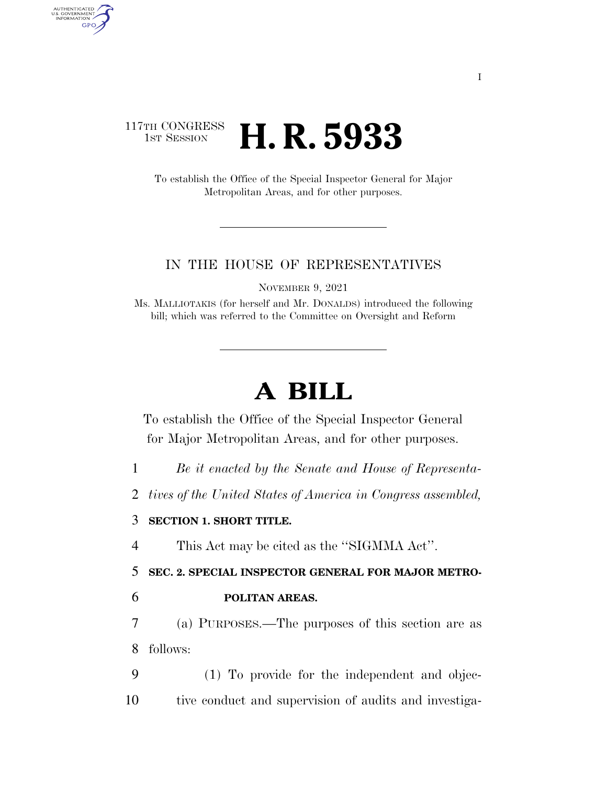## 117TH CONGRESS<br>1st Session H. R. 5933

AUTHENTICATED<br>U.S. GOVERNMENT<br>INFORMATION **GPO** 

> To establish the Office of the Special Inspector General for Major Metropolitan Areas, and for other purposes.

## IN THE HOUSE OF REPRESENTATIVES

NOVEMBER 9, 2021

Ms. MALLIOTAKIS (for herself and Mr. DONALDS) introduced the following bill; which was referred to the Committee on Oversight and Reform

## **A BILL**

To establish the Office of the Special Inspector General for Major Metropolitan Areas, and for other purposes.

1 *Be it enacted by the Senate and House of Representa-*

2 *tives of the United States of America in Congress assembled,* 

## 3 **SECTION 1. SHORT TITLE.**

4 This Act may be cited as the ''SIGMMA Act''.

5 **SEC. 2. SPECIAL INSPECTOR GENERAL FOR MAJOR METRO-**

6 **POLITAN AREAS.** 

7 (a) PURPOSES.—The purposes of this section are as 8 follows:

9 (1) To provide for the independent and objec-10 tive conduct and supervision of audits and investiga-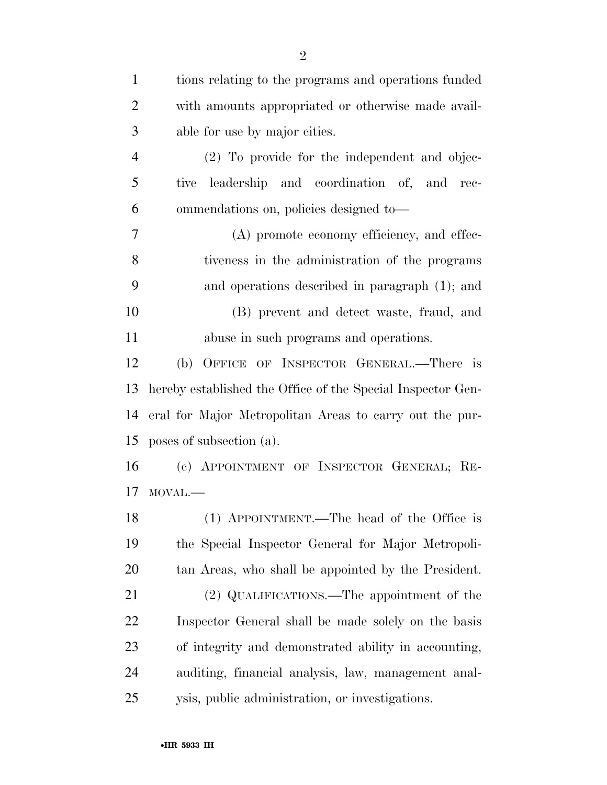| $\mathbf{1}$   | tions relating to the programs and operations funded        |
|----------------|-------------------------------------------------------------|
| $\overline{2}$ | with amounts appropriated or otherwise made avail-          |
| 3              | able for use by major cities.                               |
| $\overline{4}$ | (2) To provide for the independent and objec-               |
| 5              | leadership and coordination of, and rec-<br>tive            |
| 6              | ommendations on, policies designed to-                      |
| 7              | (A) promote economy efficiency, and effec-                  |
| 8              | tiveness in the administration of the programs              |
| 9              | and operations described in paragraph (1); and              |
| 10             | (B) prevent and detect waste, fraud, and                    |
| 11             | abuse in such programs and operations.                      |
| 12             | (b) OFFICE OF INSPECTOR GENERAL.—There is                   |
| 13             | hereby established the Office of the Special Inspector Gen- |
| 14             | eral for Major Metropolitan Areas to carry out the pur-     |
| 15             | poses of subsection (a).                                    |
| 16             | (c) APPOINTMENT OF INSPECTOR GENERAL; RE-                   |
| 17             | MOVAL.-                                                     |
| 18             | (1) APPOINTMENT.—The head of the Office is                  |
| 19             | the Special Inspector General for Major Metropoli-          |
| 20             | tan Areas, who shall be appointed by the President.         |
| 21             | (2) QUALIFICATIONS.—The appointment of the                  |
| 22             | Inspector General shall be made solely on the basis         |
| 23             | of integrity and demonstrated ability in accounting,        |
| 24             | auditing, financial analysis, law, management anal-         |
| 25             | ysis, public administration, or investigations.             |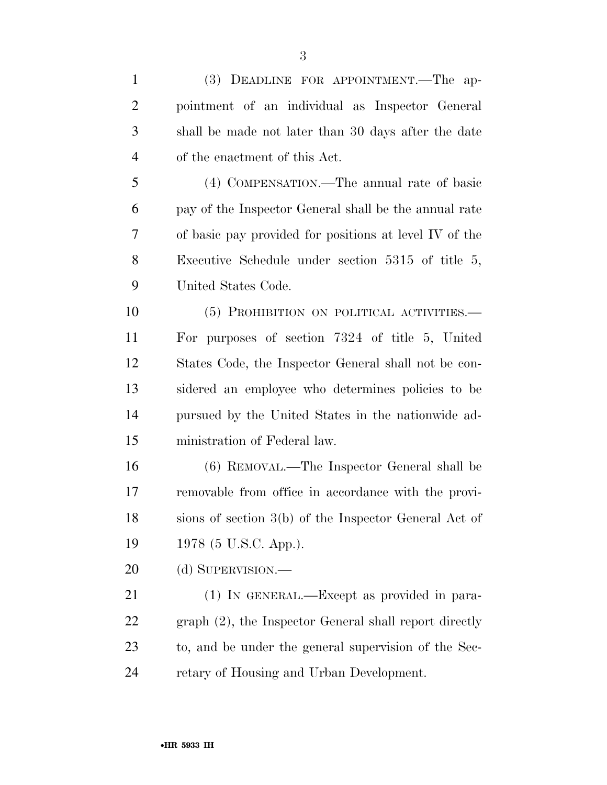| $\mathbf{1}$   | (3) DEADLINE FOR APPOINTMENT.—The ap-                  |
|----------------|--------------------------------------------------------|
| $\overline{2}$ | pointment of an individual as Inspector General        |
| 3              | shall be made not later than 30 days after the date    |
| $\overline{4}$ | of the enactment of this Act.                          |
| 5              | (4) COMPENSATION.—The annual rate of basic             |
| 6              | pay of the Inspector General shall be the annual rate  |
| 7              | of basic pay provided for positions at level IV of the |
| 8              | Executive Schedule under section $5315$ of title 5,    |
| 9              | United States Code.                                    |
| 10             | (5) PROHIBITION ON POLITICAL ACTIVITIES.—              |
| 11             | For purposes of section 7324 of title 5, United        |
| 12             | States Code, the Inspector General shall not be con-   |
| 13             | sidered an employee who determines policies to be      |
| 14             | pursued by the United States in the nationwide ad-     |
| 15             | ministration of Federal law.                           |
| 16             | (6) REMOVAL.—The Inspector General shall be            |
| 17             | removable from office in accordance with the provi-    |
| 18             | sions of section 3(b) of the Inspector General Act of  |
| 19             | 1978 (5 U.S.C. App.).                                  |
| 20             | (d) SUPERVISION.—                                      |
| 21             | (1) IN GENERAL.—Except as provided in para-            |
| 22             | graph (2), the Inspector General shall report directly |
| 23             | to, and be under the general supervision of the Sec-   |
| 24             | retary of Housing and Urban Development.               |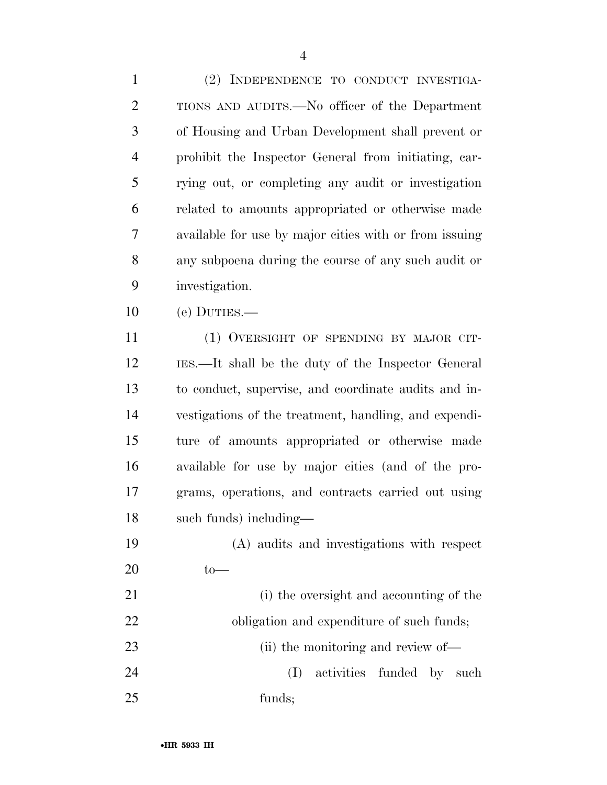(2) INDEPENDENCE TO CONDUCT INVESTIGA- TIONS AND AUDITS.—No officer of the Department of Housing and Urban Development shall prevent or prohibit the Inspector General from initiating, car- rying out, or completing any audit or investigation related to amounts appropriated or otherwise made available for use by major cities with or from issuing any subpoena during the course of any such audit or investigation.

(e) DUTIES.—

 (1) OVERSIGHT OF SPENDING BY MAJOR CIT- IES.—It shall be the duty of the Inspector General to conduct, supervise, and coordinate audits and in- vestigations of the treatment, handling, and expendi- ture of amounts appropriated or otherwise made available for use by major cities (and of the pro- grams, operations, and contracts carried out using such funds) including—

 (A) audits and investigations with respect to—

 (i) the oversight and accounting of the 22 obligation and expenditure of such funds; 23 (ii) the monitoring and review of— (I) activities funded by such funds;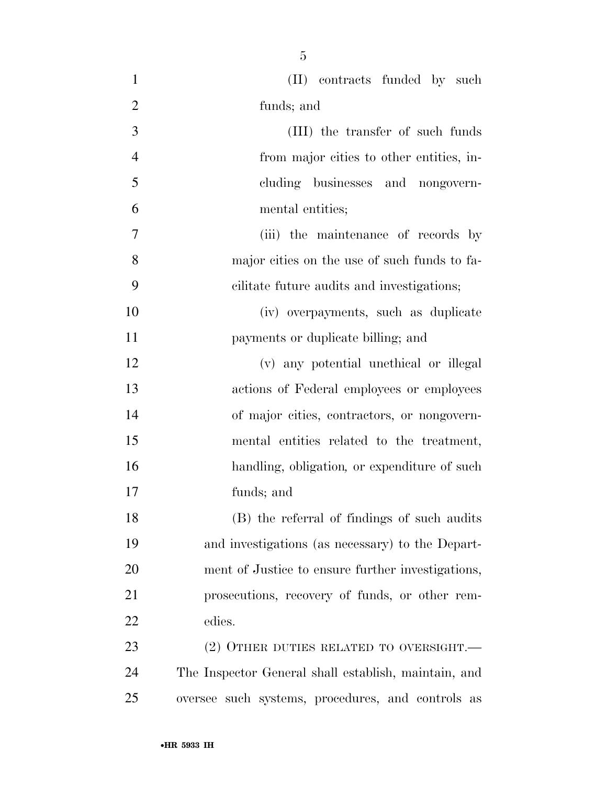| $\mathbf{1}$   | (II) contracts funded by such                        |
|----------------|------------------------------------------------------|
| $\overline{2}$ | funds; and                                           |
| 3              | (III) the transfer of such funds                     |
| $\overline{4}$ | from major cities to other entities, in-             |
| 5              | cluding businesses and nongovern-                    |
| 6              | mental entities;                                     |
| $\overline{7}$ | (iii) the maintenance of records by                  |
| 8              | major cities on the use of such funds to fa-         |
| 9              | cilitate future audits and investigations;           |
| 10             | (iv) overpayments, such as duplicate                 |
| 11             | payments or duplicate billing; and                   |
| 12             | (v) any potential unethical or illegal               |
| 13             | actions of Federal employees or employees            |
| 14             | of major cities, contractors, or nongovern-          |
| 15             | mental entities related to the treatment,            |
| 16             | handling, obligation, or expenditure of such         |
| 17             | funds; and                                           |
| 18             | (B) the referral of findings of such audits          |
| 19             | and investigations (as necessary) to the Depart-     |
| 20             | ment of Justice to ensure further investigations,    |
| 21             | prosecutions, recovery of funds, or other rem-       |
| 22             | edies.                                               |
| 23             | (2) OTHER DUTIES RELATED TO OVERSIGHT.—              |
| 24             | The Inspector General shall establish, maintain, and |
| 25             | oversee such systems, procedures, and controls as    |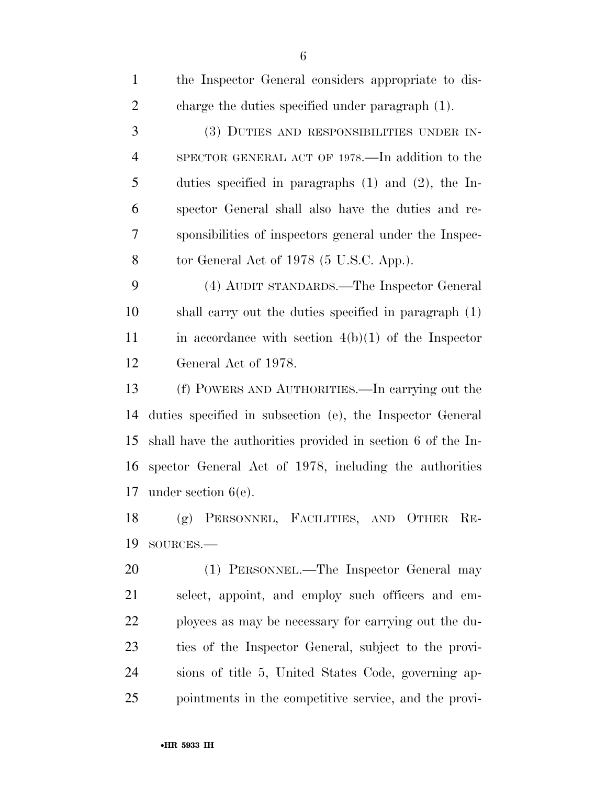| $\mathbf{1}$   | the Inspector General considers appropriate to dis-         |
|----------------|-------------------------------------------------------------|
| $\overline{2}$ | charge the duties specified under paragraph (1).            |
| 3              | (3) DUTIES AND RESPONSIBILITIES UNDER IN-                   |
| $\overline{4}$ | SPECTOR GENERAL ACT OF 1978.—In addition to the             |
| 5              | duties specified in paragraphs $(1)$ and $(2)$ , the In-    |
| 6              | spector General shall also have the duties and re-          |
| 7              | sponsibilities of inspectors general under the Inspec-      |
| 8              | tor General Act of 1978 (5 U.S.C. App.).                    |
| 9              | (4) AUDIT STANDARDS.—The Inspector General                  |
| 10             | shall carry out the duties specified in paragraph (1)       |
| 11             | in accordance with section $4(b)(1)$ of the Inspector       |
| 12             | General Act of 1978.                                        |
| 13             | (f) POWERS AND AUTHORITIES.—In carrying out the             |
| 14             | duties specified in subsection (e), the Inspector General   |
| 15             | shall have the authorities provided in section 6 of the In- |
| 16             | spector General Act of 1978, including the authorities      |
| 17             | under section $6(e)$ .                                      |
| 18             | (g) PERSONNEL, FACILITIES, AND OTHER RE-                    |
| 19             | SOURCES.                                                    |
| 20             | (1) PERSONNEL.—The Inspector General may                    |
| 21             | select, appoint, and employ such officers and em-           |
| 22             | ployees as may be necessary for carrying out the du-        |
| 23             | ties of the Inspector General, subject to the provi-        |
| 24             | sions of title 5, United States Code, governing ap-         |

pointments in the competitive service, and the provi-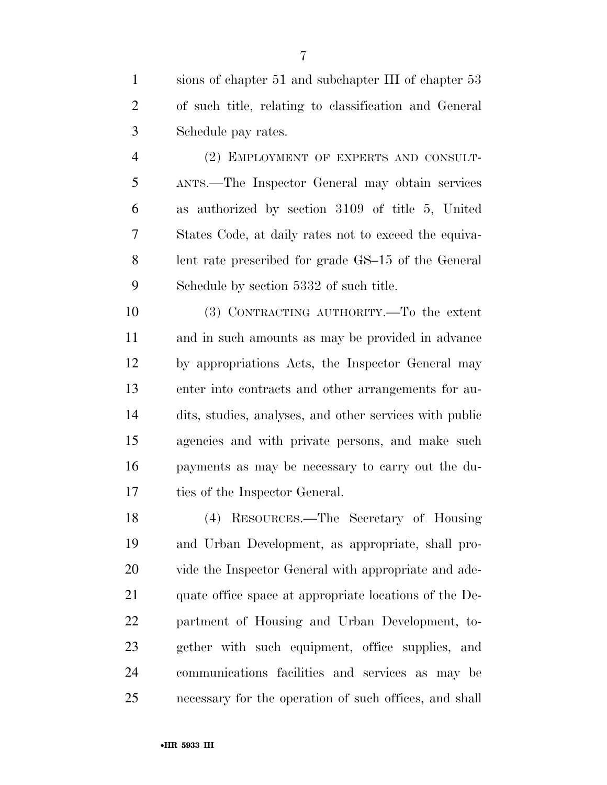sions of chapter 51 and subchapter III of chapter 53 of such title, relating to classification and General Schedule pay rates.

 (2) EMPLOYMENT OF EXPERTS AND CONSULT- ANTS.—The Inspector General may obtain services as authorized by section 3109 of title 5, United States Code, at daily rates not to exceed the equiva- lent rate prescribed for grade GS–15 of the General Schedule by section 5332 of such title.

 (3) CONTRACTING AUTHORITY.—To the extent and in such amounts as may be provided in advance by appropriations Acts, the Inspector General may enter into contracts and other arrangements for au- dits, studies, analyses, and other services with public agencies and with private persons, and make such payments as may be necessary to carry out the du-ties of the Inspector General.

 (4) RESOURCES.—The Secretary of Housing and Urban Development, as appropriate, shall pro-20 vide the Inspector General with appropriate and ade- quate office space at appropriate locations of the De- partment of Housing and Urban Development, to- gether with such equipment, office supplies, and communications facilities and services as may be necessary for the operation of such offices, and shall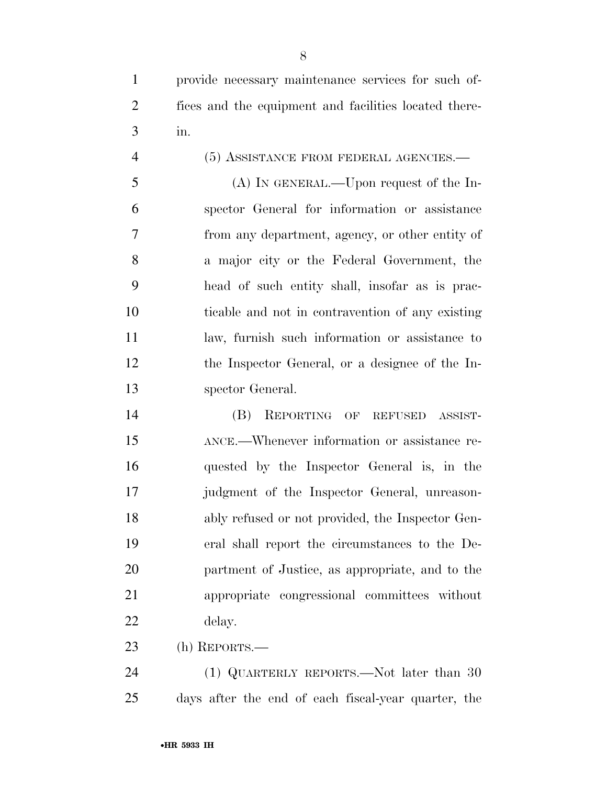(5) ASSISTANCE FROM FEDERAL AGENCIES.— (A) IN GENERAL.—Upon request of the In- spector General for information or assistance from any department, agency, or other entity of a major city or the Federal Government, the head of such entity shall, insofar as is prac- ticable and not in contravention of any existing law, furnish such information or assistance to the Inspector General, or a designee of the In-spector General.

 (B) REPORTING OF REFUSED ASSIST- ANCE.—Whenever information or assistance re- quested by the Inspector General is, in the judgment of the Inspector General, unreason- ably refused or not provided, the Inspector Gen- eral shall report the circumstances to the De- partment of Justice, as appropriate, and to the appropriate congressional committees without delay.

(h) REPORTS.—

24 (1) QUARTERLY REPORTS.—Not later than 30 days after the end of each fiscal-year quarter, the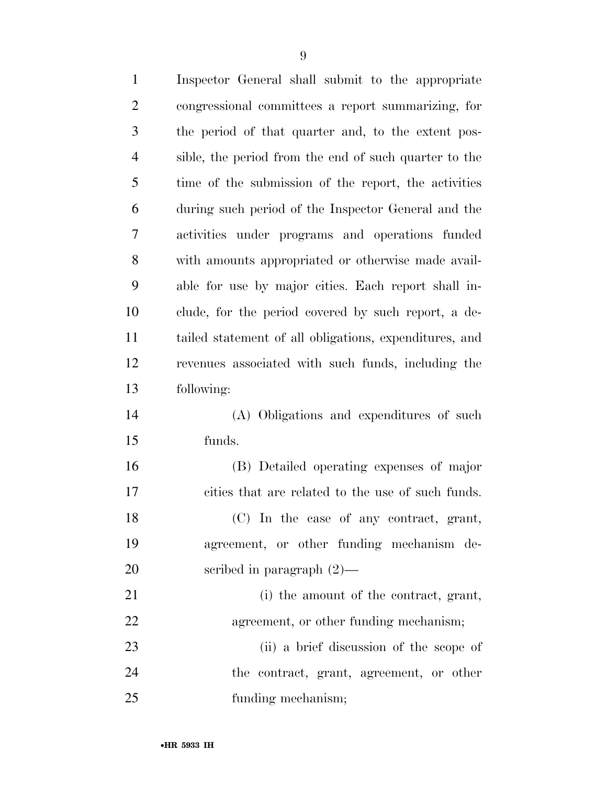| $\mathbf{1}$   | Inspector General shall submit to the appropriate      |
|----------------|--------------------------------------------------------|
| $\overline{2}$ | congressional committees a report summarizing, for     |
| 3              | the period of that quarter and, to the extent pos-     |
| $\overline{4}$ | sible, the period from the end of such quarter to the  |
| 5              | time of the submission of the report, the activities   |
| 6              | during such period of the Inspector General and the    |
| 7              | activities under programs and operations funded        |
| 8              | with amounts appropriated or otherwise made avail-     |
| 9              | able for use by major cities. Each report shall in-    |
| 10             | clude, for the period covered by such report, a de-    |
| 11             | tailed statement of all obligations, expenditures, and |
| 12             | revenues associated with such funds, including the     |
| 13             | following:                                             |
| 14             | (A) Obligations and expenditures of such               |
| 15             | funds.                                                 |
| 16             | (B) Detailed operating expenses of major               |
| 17             | cities that are related to the use of such funds.      |
| 18             | (C) In the case of any contract, grant,                |
| 19             | agreement, or other funding mechanism de-              |
| 20             | scribed in paragraph $(2)$ —                           |
| 21             | (i) the amount of the contract, grant,                 |
| <u>22</u>      | agreement, or other funding mechanism;                 |
| 23             | (ii) a brief discussion of the scope of                |
| 24             | the contract, grant, agreement, or other               |
| 25             | funding mechanism;                                     |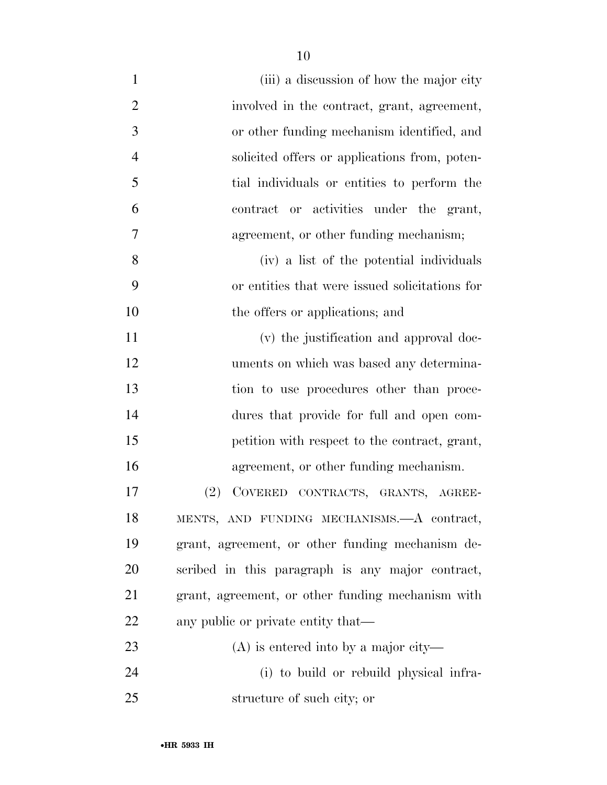| (iii) a discussion of how the major city          |
|---------------------------------------------------|
| involved in the contract, grant, agreement,       |
| or other funding mechanism identified, and        |
| solicited offers or applications from, poten-     |
| tial individuals or entities to perform the       |
| contract or activities under the grant,           |
| agreement, or other funding mechanism;            |
| (iv) a list of the potential individuals          |
| or entities that were issued solicitations for    |
| the offers or applications; and                   |
| (v) the justification and approval doc-           |
| uments on which was based any determina-          |
| tion to use procedures other than proce-          |
| dures that provide for full and open com-         |
| petition with respect to the contract, grant,     |
| agreement, or other funding mechanism.            |
| (2)<br>COVERED CONTRACTS, GRANTS, AGREE-          |
| MENTS, AND FUNDING MECHANISMS.- A contract,       |
| grant, agreement, or other funding mechanism de-  |
| scribed in this paragraph is any major contract,  |
| grant, agreement, or other funding mechanism with |
| any public or private entity that—                |
| $(A)$ is entered into by a major city—            |
| (i) to build or rebuild physical infra-           |
| structure of such city; or                        |
|                                                   |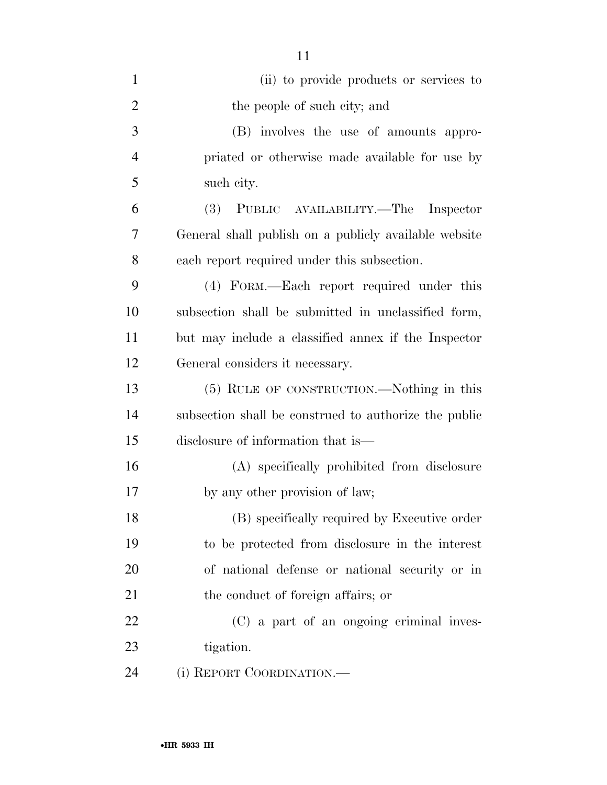| $\mathbf{1}$   | (ii) to provide products or services to               |
|----------------|-------------------------------------------------------|
| $\overline{2}$ | the people of such city; and                          |
| 3              | (B) involves the use of amounts appro-                |
| $\overline{4}$ | priated or otherwise made available for use by        |
| 5              | such city.                                            |
| 6              | (3) PUBLIC AVAILABILITY.—The Inspector                |
| 7              | General shall publish on a publicly available website |
| 8              | each report required under this subsection.           |
| 9              | (4) FORM.—Each report required under this             |
| 10             | subsection shall be submitted in unclassified form,   |
| 11             | but may include a classified annex if the Inspector   |
| 12             | General considers it necessary.                       |
| 13             | (5) RULE OF CONSTRUCTION.—Nothing in this             |
| 14             | subsection shall be construed to authorize the public |
| 15             | disclosure of information that is—                    |
| 16             | (A) specifically prohibited from disclosure           |
| 17             | by any other provision of law;                        |
| 18             | (B) specifically required by Executive order          |
| 19             | to be protected from disclosure in the interest       |
| 20             | of national defense or national security or in        |
| 21             | the conduct of foreign affairs; or                    |
| 22             | (C) a part of an ongoing criminal inves-              |
| 23             | tigation.                                             |
| 24             | (i) REPORT COORDINATION.—                             |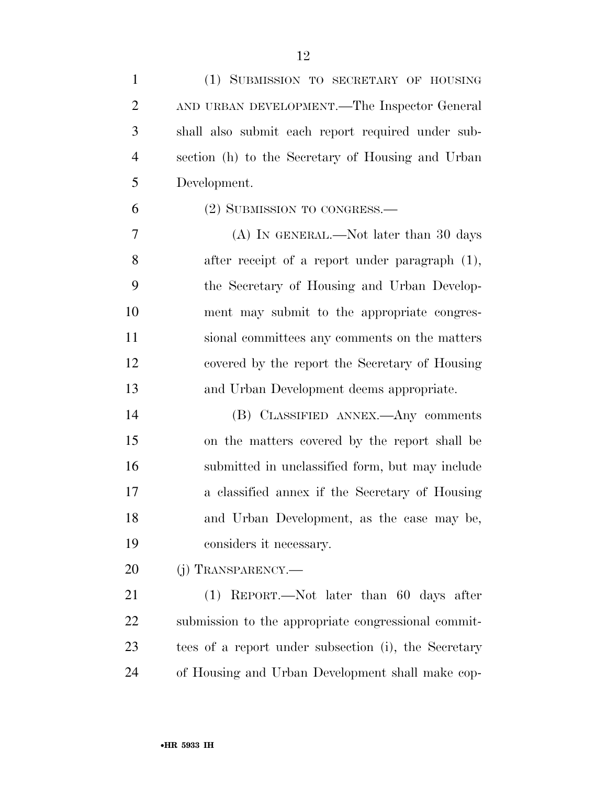| $\mathbf{1}$   | (1) SUBMISSION TO SECRETARY OF HOUSING               |
|----------------|------------------------------------------------------|
| $\overline{2}$ | AND URBAN DEVELOPMENT.—The Inspector General         |
| 3              | shall also submit each report required under sub-    |
| $\overline{4}$ | section (h) to the Secretary of Housing and Urban    |
| 5              | Development.                                         |
| 6              | (2) SUBMISSION TO CONGRESS.—                         |
| 7              | (A) IN GENERAL.—Not later than 30 days               |
| 8              | after receipt of a report under paragraph (1),       |
| 9              | the Secretary of Housing and Urban Develop-          |
| 10             | ment may submit to the appropriate congres-          |
| 11             | sional committees any comments on the matters        |
| 12             | covered by the report the Secretary of Housing       |
| 13             | and Urban Development deems appropriate.             |
| 14             | (B) CLASSIFIED ANNEX.—Any comments                   |
| 15             | on the matters covered by the report shall be        |
| 16             | submitted in unclassified form, but may include      |
| 17             | a classified annex if the Secretary of Housing       |
| 18             | and Urban Development, as the case may be,           |
| 19             | considers it necessary.                              |
| 20             | (j) TRANSPARENCY.—                                   |
| 21             | $(1)$ REPORT.—Not later than 60 days after           |
| 22             | submission to the appropriate congressional commit-  |
| 23             | tees of a report under subsection (i), the Secretary |
| 24             | of Housing and Urban Development shall make cop-     |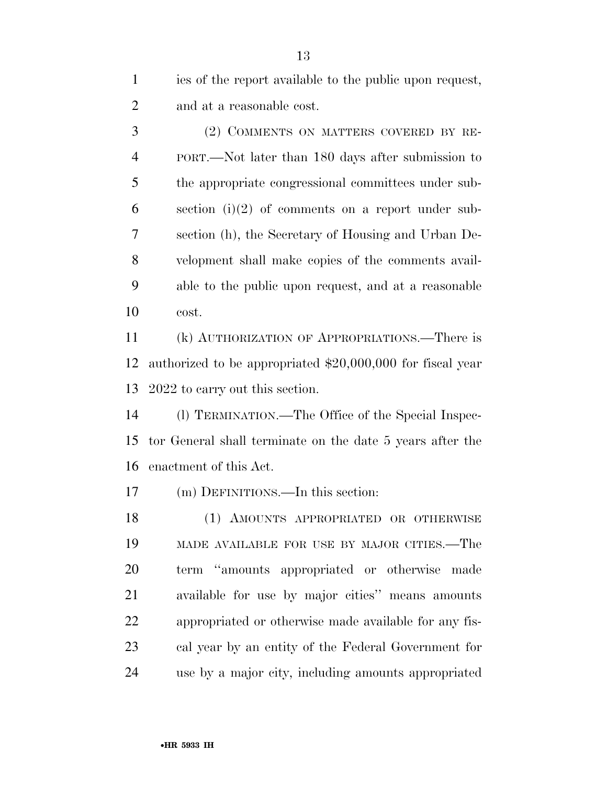ies of the report available to the public upon request, and at a reasonable cost.

 (2) COMMENTS ON MATTERS COVERED BY RE- PORT.—Not later than 180 days after submission to the appropriate congressional committees under sub-6 section (i)(2) of comments on a report under sub- section (h), the Secretary of Housing and Urban De- velopment shall make copies of the comments avail- able to the public upon request, and at a reasonable cost.

 (k) AUTHORIZATION OF APPROPRIATIONS.—There is authorized to be appropriated \$20,000,000 for fiscal year 2022 to carry out this section.

 (l) TERMINATION.—The Office of the Special Inspec- tor General shall terminate on the date 5 years after the enactment of this Act.

(m) DEFINITIONS.—In this section:

 (1) AMOUNTS APPROPRIATED OR OTHERWISE MADE AVAILABLE FOR USE BY MAJOR CITIES.—The term ''amounts appropriated or otherwise made available for use by major cities'' means amounts appropriated or otherwise made available for any fis- cal year by an entity of the Federal Government for use by a major city, including amounts appropriated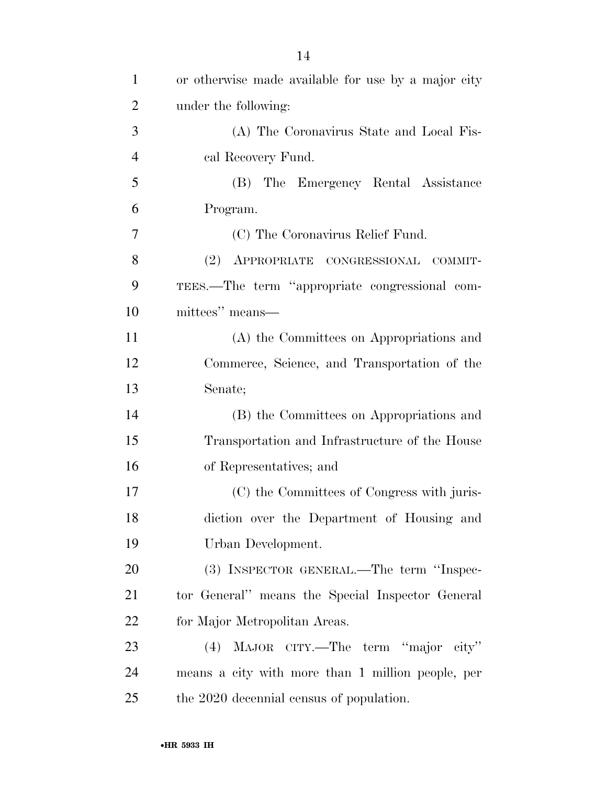| $\mathbf{1}$   | or otherwise made available for use by a major city |
|----------------|-----------------------------------------------------|
| $\overline{2}$ | under the following:                                |
| 3              | (A) The Coronavirus State and Local Fis-            |
| $\overline{4}$ | cal Recovery Fund.                                  |
| 5              | (B) The Emergency Rental Assistance                 |
| 6              | Program.                                            |
| 7              | (C) The Coronavirus Relief Fund.                    |
| 8              | (2)<br>APPROPRIATE CONGRESSIONAL COMMIT-            |
| 9              | TEES.—The term "appropriate congressional com-      |
| 10             | mittees" means—                                     |
| 11             | (A) the Committees on Appropriations and            |
| 12             | Commerce, Science, and Transportation of the        |
| 13             | Senate;                                             |
| 14             | (B) the Committees on Appropriations and            |
| 15             | Transportation and Infrastructure of the House      |
| 16             | of Representatives; and                             |
| 17             | (C) the Committees of Congress with juris-          |
| 18             | diction over the Department of Housing and          |
| 19             | Urban Development.                                  |
| 20             | (3) INSPECTOR GENERAL.—The term "Inspec-            |
| 21             | tor General" means the Special Inspector General    |
| 22             | for Major Metropolitan Areas.                       |
| 23             | MAJOR CITY.—The term "major city"<br>(4)            |
| 24             | means a city with more than 1 million people, per   |
| 25             | the 2020 decennial census of population.            |